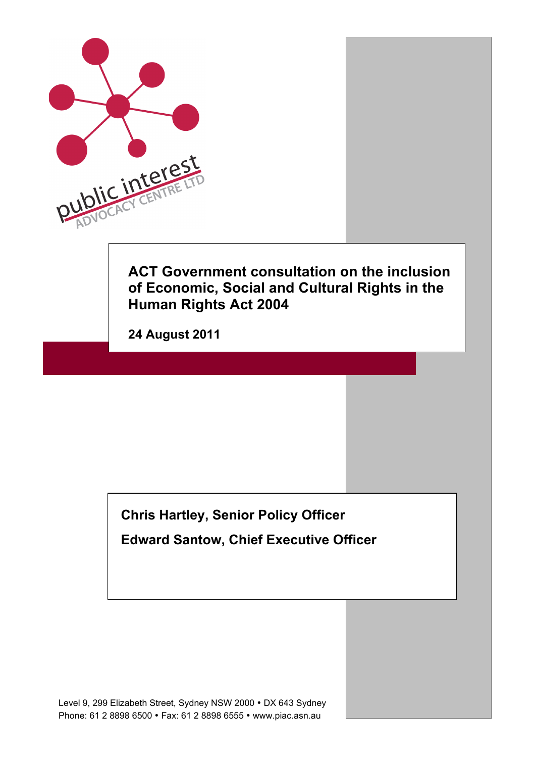

**Chris Hartley, Senior Policy Officer**

**Edward Santow, Chief Executive Officer**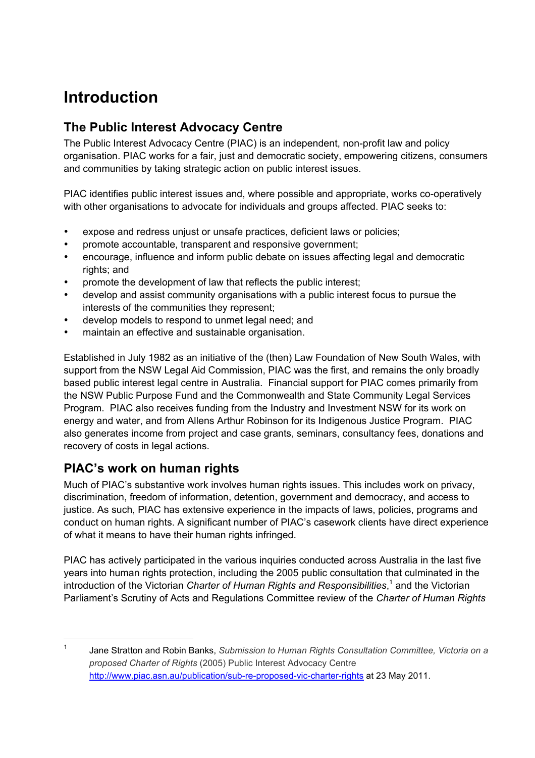# **Introduction**

## **The Public Interest Advocacy Centre**

The Public Interest Advocacy Centre (PIAC) is an independent, non-profit law and policy organisation. PIAC works for a fair, just and democratic society, empowering citizens, consumers and communities by taking strategic action on public interest issues.

PIAC identifies public interest issues and, where possible and appropriate, works co-operatively with other organisations to advocate for individuals and groups affected. PIAC seeks to:

- expose and redress unjust or unsafe practices, deficient laws or policies;
- promote accountable, transparent and responsive government;
- encourage, influence and inform public debate on issues affecting legal and democratic rights; and
- promote the development of law that reflects the public interest;
- develop and assist community organisations with a public interest focus to pursue the interests of the communities they represent;
- develop models to respond to unmet legal need; and
- maintain an effective and sustainable organisation.

Established in July 1982 as an initiative of the (then) Law Foundation of New South Wales, with support from the NSW Legal Aid Commission, PIAC was the first, and remains the only broadly based public interest legal centre in Australia. Financial support for PIAC comes primarily from the NSW Public Purpose Fund and the Commonwealth and State Community Legal Services Program. PIAC also receives funding from the Industry and Investment NSW for its work on energy and water, and from Allens Arthur Robinson for its Indigenous Justice Program. PIAC also generates income from project and case grants, seminars, consultancy fees, donations and recovery of costs in legal actions.

## **PIAC's work on human rights**

Much of PIAC's substantive work involves human rights issues. This includes work on privacy, discrimination, freedom of information, detention, government and democracy, and access to justice. As such, PIAC has extensive experience in the impacts of laws, policies, programs and conduct on human rights. A significant number of PIAC's casework clients have direct experience of what it means to have their human rights infringed.

PIAC has actively participated in the various inquiries conducted across Australia in the last five years into human rights protection, including the 2005 public consultation that culminated in the introduction of the Victorian *Charter of Human Rights and Responsibilities*, 1 and the Victorian Parliament's Scrutiny of Acts and Regulations Committee review of the *Charter of Human Rights* 

 <sup>1</sup> Jane Stratton and Robin Banks, *Submission to Human Rights Consultation Committee, Victoria on a proposed Charter of Rights* (2005) Public Interest Advocacy Centre http://www.piac.asn.au/publication/sub-re-proposed-vic-charter-rights at 23 May 2011.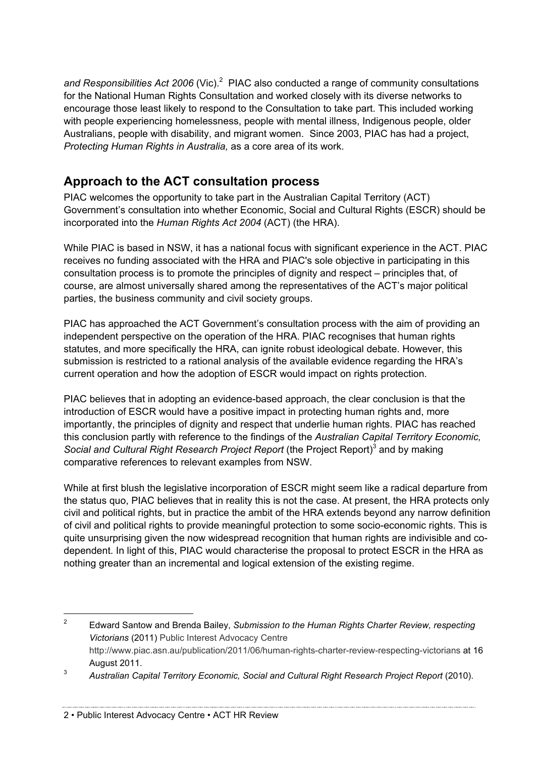and Responsibilities Act 2006 (Vic).<sup>2</sup> PIAC also conducted a range of community consultations for the National Human Rights Consultation and worked closely with its diverse networks to encourage those least likely to respond to the Consultation to take part. This included working with people experiencing homelessness, people with mental illness, Indigenous people, older Australians, people with disability, and migrant women. Since 2003, PIAC has had a project, *Protecting Human Rights in Australia,* as a core area of its work.

## **Approach to the ACT consultation process**

PIAC welcomes the opportunity to take part in the Australian Capital Territory (ACT) Government's consultation into whether Economic, Social and Cultural Rights (ESCR) should be incorporated into the *Human Rights Act 2004* (ACT) (the HRA).

While PIAC is based in NSW, it has a national focus with significant experience in the ACT. PIAC receives no funding associated with the HRA and PIAC's sole objective in participating in this consultation process is to promote the principles of dignity and respect – principles that, of course, are almost universally shared among the representatives of the ACT's major political parties, the business community and civil society groups.

PIAC has approached the ACT Government's consultation process with the aim of providing an independent perspective on the operation of the HRA. PIAC recognises that human rights statutes, and more specifically the HRA, can ignite robust ideological debate. However, this submission is restricted to a rational analysis of the available evidence regarding the HRA's current operation and how the adoption of ESCR would impact on rights protection.

PIAC believes that in adopting an evidence-based approach, the clear conclusion is that the introduction of ESCR would have a positive impact in protecting human rights and, more importantly, the principles of dignity and respect that underlie human rights. PIAC has reached this conclusion partly with reference to the findings of the *Australian Capital Territory Economic, Social and Cultural Right Research Project Report* (the Project Report)<sup>3</sup> and by making comparative references to relevant examples from NSW.

While at first blush the legislative incorporation of ESCR might seem like a radical departure from the status quo, PIAC believes that in reality this is not the case. At present, the HRA protects only civil and political rights, but in practice the ambit of the HRA extends beyond any narrow definition of civil and political rights to provide meaningful protection to some socio-economic rights. This is quite unsurprising given the now widespread recognition that human rights are indivisible and codependent. In light of this, PIAC would characterise the proposal to protect ESCR in the HRA as nothing greater than an incremental and logical extension of the existing regime.

 <sup>2</sup> Edward Santow and Brenda Bailey, *Submission to the Human Rights Charter Review, respecting Victorians* (2011) Public Interest Advocacy Centre http://www.piac.asn.au/publication/2011/06/human-rights-charter-review-respecting-victorians at 16 August 2011.

<sup>3</sup> *Australian Capital Territory Economic, Social and Cultural Right Research Project Report* (2010).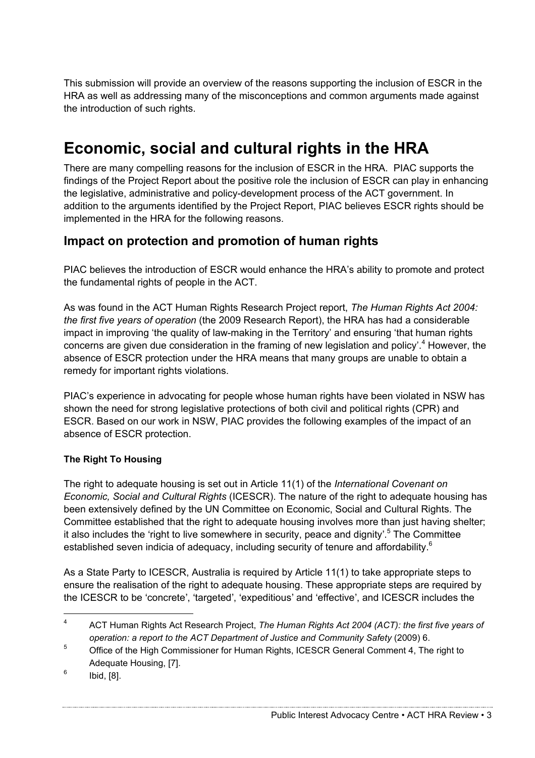This submission will provide an overview of the reasons supporting the inclusion of ESCR in the HRA as well as addressing many of the misconceptions and common arguments made against the introduction of such rights.

## **Economic, social and cultural rights in the HRA**

There are many compelling reasons for the inclusion of ESCR in the HRA. PIAC supports the findings of the Project Report about the positive role the inclusion of ESCR can play in enhancing the legislative, administrative and policy-development process of the ACT government. In addition to the arguments identified by the Project Report, PIAC believes ESCR rights should be implemented in the HRA for the following reasons.

### **Impact on protection and promotion of human rights**

PIAC believes the introduction of ESCR would enhance the HRA's ability to promote and protect the fundamental rights of people in the ACT.

As was found in the ACT Human Rights Research Project report, *The Human Rights Act 2004: the first five years of operation* (the 2009 Research Report), the HRA has had a considerable impact in improving 'the quality of law-making in the Territory' and ensuring 'that human rights concerns are given due consideration in the framing of new legislation and policy'.<sup>4</sup> However, the absence of ESCR protection under the HRA means that many groups are unable to obtain a remedy for important rights violations.

PIAC's experience in advocating for people whose human rights have been violated in NSW has shown the need for strong legislative protections of both civil and political rights (CPR) and ESCR. Based on our work in NSW, PIAC provides the following examples of the impact of an absence of ESCR protection.

### **The Right To Housing**

The right to adequate housing is set out in Article 11(1) of the *International Covenant on Economic, Social and Cultural Rights* (ICESCR). The nature of the right to adequate housing has been extensively defined by the UN Committee on Economic, Social and Cultural Rights. The Committee established that the right to adequate housing involves more than just having shelter; it also includes the 'right to live somewhere in security, peace and dignity'.<sup>5</sup> The Committee established seven indicia of adequacy, including security of tenure and affordability.<sup>6</sup>

As a State Party to ICESCR, Australia is required by Article 11(1) to take appropriate steps to ensure the realisation of the right to adequate housing. These appropriate steps are required by the ICESCR to be 'concrete', 'targeted', 'expeditious' and 'effective', and ICESCR includes the

 $6$  Ibid, [8].

 <sup>4</sup> ACT Human Rights Act Research Project, *The Human Rights Act 2004 (ACT): the first five years of operation: a report to the ACT Department of Justice and Community Safety* (2009) 6.

<sup>&</sup>lt;sup>5</sup> Office of the High Commissioner for Human Rights, ICESCR General Comment 4, The right to Adequate Housing, [7].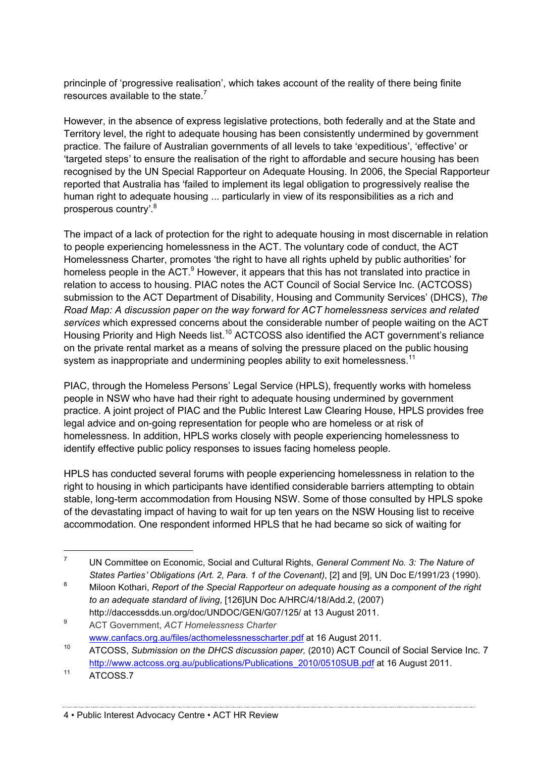princinple of 'progressive realisation', which takes account of the reality of there being finite resources available to the state.<sup>7</sup>

However, in the absence of express legislative protections, both federally and at the State and Territory level, the right to adequate housing has been consistently undermined by government practice. The failure of Australian governments of all levels to take 'expeditious', 'effective' or 'targeted steps' to ensure the realisation of the right to affordable and secure housing has been recognised by the UN Special Rapporteur on Adequate Housing. In 2006, the Special Rapporteur reported that Australia has 'failed to implement its legal obligation to progressively realise the human right to adequate housing ... particularly in view of its responsibilities as a rich and prosperous country'.<sup>8</sup>

The impact of a lack of protection for the right to adequate housing in most discernable in relation to people experiencing homelessness in the ACT. The voluntary code of conduct, the ACT Homelessness Charter, promotes 'the right to have all rights upheld by public authorities' for homeless people in the ACT. $9$  However, it appears that this has not translated into practice in relation to access to housing. PIAC notes the ACT Council of Social Service Inc. (ACTCOSS) submission to the ACT Department of Disability, Housing and Community Services' (DHCS), *The Road Map: A discussion paper on the way forward for ACT homelessness services and related services* which expressed concerns about the considerable number of people waiting on the ACT Housing Priority and High Needs list.<sup>10</sup> ACTCOSS also identified the ACT government's reliance on the private rental market as a means of solving the pressure placed on the public housing system as inappropriate and undermining peoples ability to exit homelessness.<sup>11</sup>

PIAC, through the Homeless Persons' Legal Service (HPLS), frequently works with homeless people in NSW who have had their right to adequate housing undermined by government practice. A joint project of PIAC and the Public Interest Law Clearing House, HPLS provides free legal advice and on-going representation for people who are homeless or at risk of homelessness. In addition, HPLS works closely with people experiencing homelessness to identify effective public policy responses to issues facing homeless people.

HPLS has conducted several forums with people experiencing homelessness in relation to the right to housing in which participants have identified considerable barriers attempting to obtain stable, long-term accommodation from Housing NSW. Some of those consulted by HPLS spoke of the devastating impact of having to wait for up ten years on the NSW Housing list to receive accommodation. One respondent informed HPLS that he had became so sick of waiting for

 <sup>7</sup> UN Committee on Economic, Social and Cultural Rights, *General Comment No. 3: The Nature of States Parties' Obligations (Art. 2, Para. 1 of the Covenant)*, [2] and [9], UN Doc E/1991/23 (1990).

<sup>8</sup> Miloon Kothari, *Report of the Special Rapporteur on adequate housing as a component of the right to an adequate standard of living*, [126]UN Doc A/HRC/4/18/Add.2, (2007) http://daccessdds.un.org/doc/UNDOC/GEN/G07/125/ at 13 August 2011.

<sup>9</sup> ACT Government, *ACT Homelessness Charter*  www.canfacs.org.au/files/acthomelessnesscharter.pdf at 16 August 2011.

<sup>10</sup> ATCOSS, *Submission on the DHCS discussion paper,* (2010) ACT Council of Social Service Inc. 7 http://www.actcoss.org.au/publications/Publications\_2010/0510SUB.pdf at 16 August 2011.

<sup>&</sup>lt;sup>11</sup> ATCOSS.7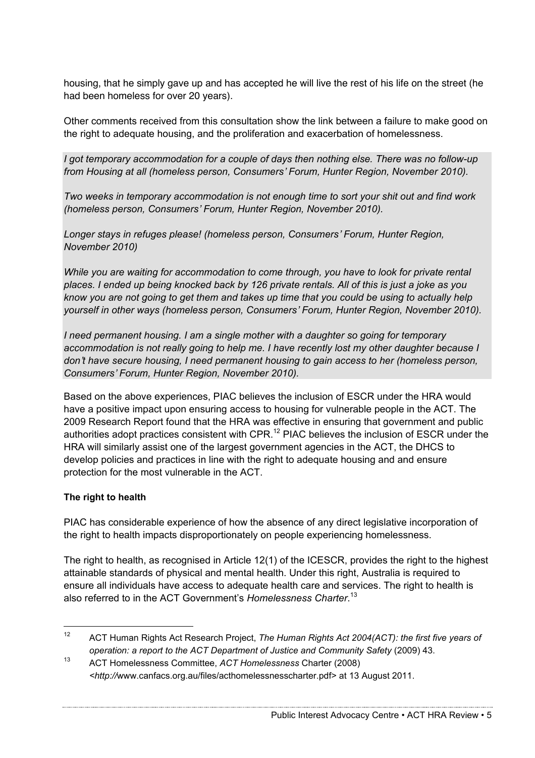housing, that he simply gave up and has accepted he will live the rest of his life on the street (he had been homeless for over 20 years).

Other comments received from this consultation show the link between a failure to make good on the right to adequate housing, and the proliferation and exacerbation of homelessness.

*I got temporary accommodation for a couple of days then nothing else. There was no follow-up from Housing at all (homeless person, Consumers' Forum, Hunter Region, November 2010).*

*Two weeks in temporary accommodation is not enough time to sort your shit out and find work (homeless person, Consumers' Forum, Hunter Region, November 2010).*

*Longer stays in refuges please! (homeless person, Consumers' Forum, Hunter Region, November 2010)*

*While you are waiting for accommodation to come through, you have to look for private rental places. I ended up being knocked back by 126 private rentals. All of this is just a joke as you know you are not going to get them and takes up time that you could be using to actually help yourself in other ways (homeless person, Consumers' Forum, Hunter Region, November 2010).*

*I need permanent housing. I am a single mother with a daughter so going for temporary accommodation is not really going to help me. I have recently lost my other daughter because I don't have secure housing, I need permanent housing to gain access to her (homeless person, Consumers' Forum, Hunter Region, November 2010).*

Based on the above experiences, PIAC believes the inclusion of ESCR under the HRA would have a positive impact upon ensuring access to housing for vulnerable people in the ACT. The 2009 Research Report found that the HRA was effective in ensuring that government and public authorities adopt practices consistent with CPR.<sup>12</sup> PIAC believes the inclusion of ESCR under the HRA will similarly assist one of the largest government agencies in the ACT, the DHCS to develop policies and practices in line with the right to adequate housing and and ensure protection for the most vulnerable in the ACT.

#### **The right to health**

PIAC has considerable experience of how the absence of any direct legislative incorporation of the right to health impacts disproportionately on people experiencing homelessness.

The right to health, as recognised in Article 12(1) of the ICESCR, provides the right to the highest attainable standards of physical and mental health. Under this right, Australia is required to ensure all individuals have access to adequate health care and services. The right to health is also referred to in the ACT Government's *Homelessness Charter*. 13

 <sup>12</sup> ACT Human Rights Act Research Project, *The Human Rights Act 2004(ACT): the first five years of operation: a report to the ACT Department of Justice and Community Safety (2009) 43.* 

<sup>13</sup> ACT Homelessness Committee, *ACT Homelessness* Charter (2008) *<http://*www.canfacs.org.au/files/acthomelessnesscharter.pdf> at 13 August 2011.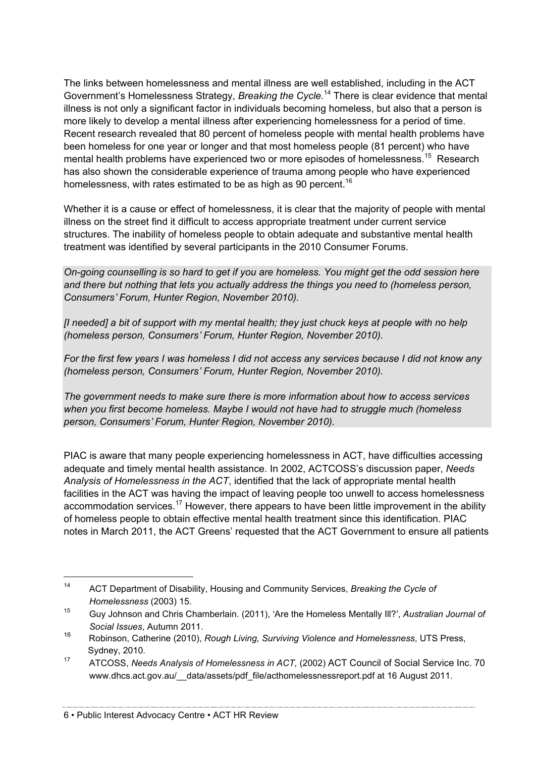The links between homelessness and mental illness are well established, including in the ACT Government's Homelessness Strategy, *Breaking the Cycle.*<sup>14</sup> There is clear evidence that mental illness is not only a significant factor in individuals becoming homeless, but also that a person is more likely to develop a mental illness after experiencing homelessness for a period of time. Recent research revealed that 80 percent of homeless people with mental health problems have been homeless for one year or longer and that most homeless people (81 percent) who have mental health problems have experienced two or more episodes of homelessness.<sup>15</sup> Research has also shown the considerable experience of trauma among people who have experienced homelessness, with rates estimated to be as high as 90 percent.<sup>16</sup>

Whether it is a cause or effect of homelessness, it is clear that the majority of people with mental illness on the street find it difficult to access appropriate treatment under current service structures. The inability of homeless people to obtain adequate and substantive mental health treatment was identified by several participants in the 2010 Consumer Forums.

*On-going counselling is so hard to get if you are homeless. You might get the odd session here and there but nothing that lets you actually address the things you need to (homeless person, Consumers' Forum, Hunter Region, November 2010).*

*[I needed] a bit of support with my mental health; they just chuck keys at people with no help (homeless person, Consumers' Forum, Hunter Region, November 2010).*

*For the first few years I was homeless I did not access any services because I did not know any (homeless person, Consumers' Forum, Hunter Region, November 2010).*

*The government needs to make sure there is more information about how to access services when you first become homeless. Maybe I would not have had to struggle much (homeless person, Consumers' Forum, Hunter Region, November 2010).*

PIAC is aware that many people experiencing homelessness in ACT, have difficulties accessing adequate and timely mental health assistance. In 2002, ACTCOSS's discussion paper, *Needs Analysis of Homelessness in the ACT*, identified that the lack of appropriate mental health facilities in the ACT was having the impact of leaving people too unwell to access homelessness accommodation services.<sup>17</sup> However, there appears to have been little improvement in the ability of homeless people to obtain effective mental health treatment since this identification. PIAC notes in March 2011, the ACT Greens' requested that the ACT Government to ensure all patients

 <sup>14</sup> ACT Department of Disability, Housing and Community Services, *Breaking the Cycle of Homelessness* (2003) 15.

<sup>15</sup> Guy Johnson and Chris Chamberlain. (2011), 'Are the Homeless Mentally Ill?', *Australian Journal of Social Issues*, Autumn 2011.

<sup>16</sup> Robinson, Catherine (2010), *Rough Living, Surviving Violence and Homelessness*, UTS Press, Sydney, 2010.

<sup>17</sup> ATCOSS, *Needs Analysis of Homelessness in ACT,* (2002) ACT Council of Social Service Inc. 70 www.dhcs.act.gov.au/ data/assets/pdf\_file/acthomelessnessreport.pdf at 16 August 2011.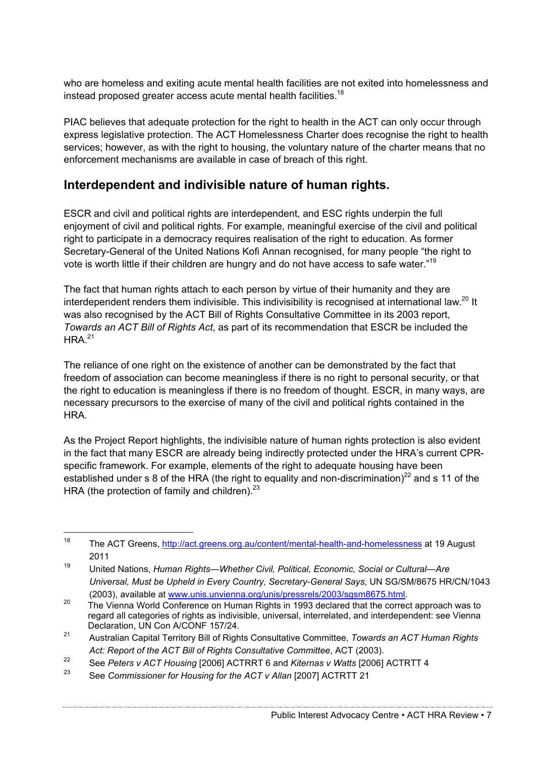who are homeless and exiting acute mental health facilities are not exited into homelessness and instead proposed greater access acute mental health facilities.<sup>18</sup>

PIAC believes that adequate protection for the right to health in the ACT can only occur through express legislative protection. The ACT Homelessness Charter does recognise the right to health services; however, as with the right to housing, the voluntary nature of the charter means that no enforcement mechanisms are available in case of breach of this right.

### **Interdependent and indivisible nature of human rights.**

ESCR and civil and political rights are interdependent, and ESC rights underpin the full enjoyment of civil and political rights. For example, meaningful exercise of the civil and political right to participate in a democracy requires realisation of the right to education. As former Secretary-General of the United Nations Kofi Annan recognised, for many people "the right to vote is worth little if their children are hungry and do not have access to safe water."19

The fact that human rights attach to each person by virtue of their humanity and they are interdependent renders them indivisible. This indivisibility is recognised at international law.<sup>20</sup> It was also recognised by the ACT Bill of Rights Consultative Committee in its 2003 report, *Towards an ACT Bill of Rights Act*, as part of its recommendation that ESCR be included the  $HRA.<sup>21</sup>$ 

The reliance of one right on the existence of another can be demonstrated by the fact that freedom of association can become meaningless if there is no right to personal security, or that the right to education is meaningless if there is no freedom of thought. ESCR, in many ways, are necessary precursors to the exercise of many of the civil and political rights contained in the HRA.

As the Project Report highlights, the indivisible nature of human rights protection is also evident in the fact that many ESCR are already being indirectly protected under the HRA's current CPRspecific framework. For example, elements of the right to adequate housing have been established under s 8 of the HRA (the right to equality and non-discrimination)<sup>22</sup> and s 11 of the HRA (the protection of family and children). $^{23}$ 

<sup>&</sup>lt;sup>18</sup> The ACT Greens, http://act.greens.org.au/content/mental-health-and-homelessness at 19 August 2011

<sup>19</sup> United Nations, *Human Rights—Whether Civil, Political, Economic, Social or Cultural—Are Universal, Must be Upheld in Every Country, Secretary-General Says*, UN SG/SM/8675 HR/CN/1043 (2003), available at www.unis.unvienna.org/unis/pressrels/2003/sgsm8675.html.

<sup>&</sup>lt;sup>20</sup> The Vienna World Conference on Human Rights in 1993 declared that the correct approach was to regard all categories of rights as indivisible, universal, interrelated, and interdependent: see Vienna Declaration, UN Con A/CONF 157/24.

<sup>21</sup> Australian Capital Territory Bill of Rights Consultative Committee, *Towards an ACT Human Rights Act: Report of the ACT Bill of Rights Consultative Committee*, ACT (2003).

<sup>22</sup> See *Peters v ACT Housing* [2006] ACTRRT 6 and *Kiternas v Watts* [2006] ACTRTT 4

<sup>23</sup> See *Commissioner for Housing for the ACT v Allan* [2007] ACTRTT 21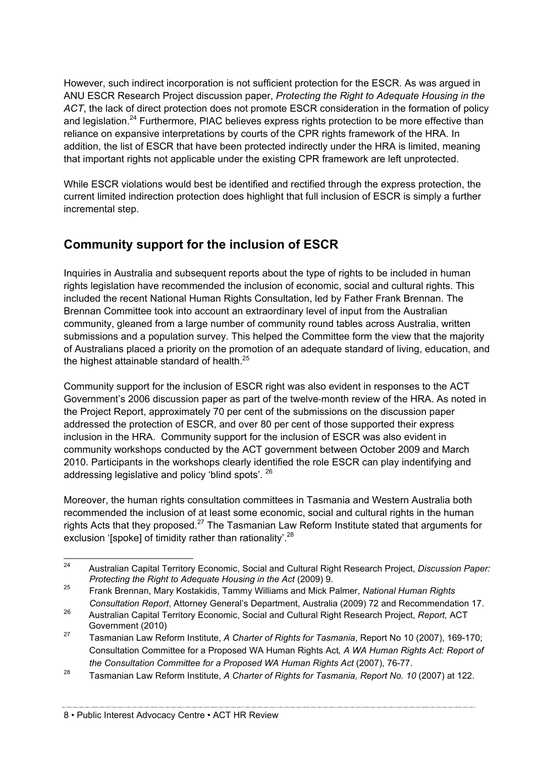However, such indirect incorporation is not sufficient protection for the ESCR. As was argued in ANU ESCR Research Project discussion paper, *Protecting the Right to Adequate Housing in the ACT*, the lack of direct protection does not promote ESCR consideration in the formation of policy and legislation.<sup>24</sup> Furthermore, PIAC believes express rights protection to be more effective than reliance on expansive interpretations by courts of the CPR rights framework of the HRA. In addition, the list of ESCR that have been protected indirectly under the HRA is limited, meaning that important rights not applicable under the existing CPR framework are left unprotected.

While ESCR violations would best be identified and rectified through the express protection, the current limited indirection protection does highlight that full inclusion of ESCR is simply a further incremental step.

## **Community support for the inclusion of ESCR**

Inquiries in Australia and subsequent reports about the type of rights to be included in human rights legislation have recommended the inclusion of economic, social and cultural rights. This included the recent National Human Rights Consultation, led by Father Frank Brennan. The Brennan Committee took into account an extraordinary level of input from the Australian community, gleaned from a large number of community round tables across Australia, written submissions and a population survey. This helped the Committee form the view that the majority of Australians placed a priority on the promotion of an adequate standard of living, education, and the highest attainable standard of health.<sup>25</sup>

Community support for the inclusion of ESCR right was also evident in responses to the ACT Government's 2006 discussion paper as part of the twelve-month review of the HRA. As noted in the Project Report, approximately 70 per cent of the submissions on the discussion paper addressed the protection of ESCR, and over 80 per cent of those supported their express inclusion in the HRA. Community support for the inclusion of ESCR was also evident in community workshops conducted by the ACT government between October 2009 and March 2010. Participants in the workshops clearly identified the role ESCR can play indentifying and addressing legislative and policy 'blind spots'. 26

Moreover, the human rights consultation committees in Tasmania and Western Australia both recommended the inclusion of at least some economic, social and cultural rights in the human rights Acts that they proposed.<sup>27</sup> The Tasmanian Law Reform Institute stated that arguments for exclusion '[spoke] of timidity rather than rationality'.<sup>28</sup>

 <sup>24</sup> Australian Capital Territory Economic, Social and Cultural Right Research Project, *Discussion Paper: Protecting the Right to Adequate Housing in the Act* (2009) 9.

<sup>25</sup> Frank Brennan, Mary Kostakidis, Tammy Williams and Mick Palmer, *National Human Rights Consultation Report*, Attorney General's Department, Australia (2009) 72 and Recommendation 17.

<sup>26</sup> Australian Capital Territory Economic, Social and Cultural Right Research Project, *Report,* ACT Government (2010)

<sup>27</sup> Tasmanian Law Reform Institute, *A Charter of Rights for Tasmania*, Report No 10 (2007), 169-170; Consultation Committee for a Proposed WA Human Rights Act*, A WA Human Rights Act: Report of the Consultation Committee for a Proposed WA Human Rights Act* (2007), 76-77.

<sup>28</sup> Tasmanian Law Reform Institute, *A Charter of Rights for Tasmania, Report No. 10* (2007) at 122.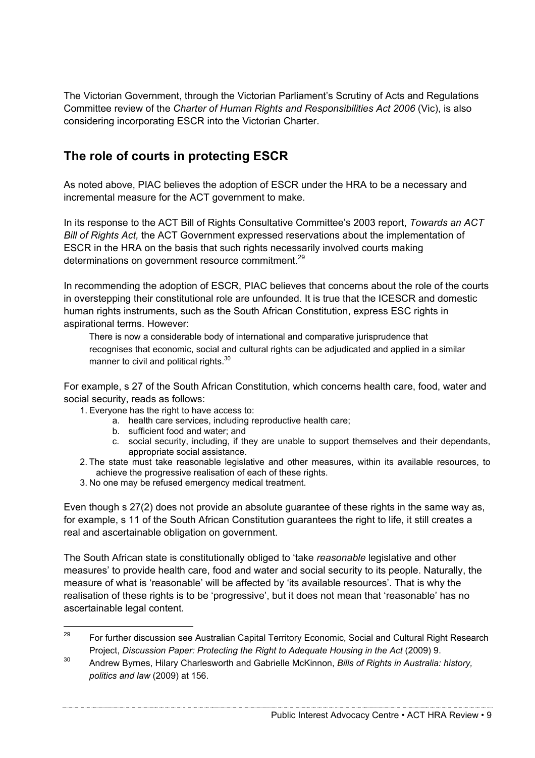The Victorian Government, through the Victorian Parliament's Scrutiny of Acts and Regulations Committee review of the *Charter of Human Rights and Responsibilities Act 2006* (Vic), is also considering incorporating ESCR into the Victorian Charter.

## **The role of courts in protecting ESCR**

As noted above, PIAC believes the adoption of ESCR under the HRA to be a necessary and incremental measure for the ACT government to make.

In its response to the ACT Bill of Rights Consultative Committee's 2003 report, *Towards an ACT Bill of Rights Act,* the ACT Government expressed reservations about the implementation of ESCR in the HRA on the basis that such rights necessarily involved courts making determinations on government resource commitment.<sup>29</sup>

In recommending the adoption of ESCR, PIAC believes that concerns about the role of the courts in overstepping their constitutional role are unfounded. It is true that the ICESCR and domestic human rights instruments, such as the South African Constitution, express ESC rights in aspirational terms. However:

There is now a considerable body of international and comparative jurisprudence that recognises that economic, social and cultural rights can be adjudicated and applied in a similar manner to civil and political rights.<sup>30</sup>

For example, s 27 of the South African Constitution, which concerns health care, food, water and social security, reads as follows:

- 1. Everyone has the right to have access to:
	- a. health care services, including reproductive health care;
	- b. sufficient food and water; and
	- c. social security, including, if they are unable to support themselves and their dependants, appropriate social assistance.
- 2. The state must take reasonable legislative and other measures, within its available resources, to achieve the progressive realisation of each of these rights.
- 3. No one may be refused emergency medical treatment.

Even though s 27(2) does not provide an absolute guarantee of these rights in the same way as, for example, s 11 of the South African Constitution guarantees the right to life, it still creates a real and ascertainable obligation on government.

The South African state is constitutionally obliged to 'take *reasonable* legislative and other measures' to provide health care, food and water and social security to its people. Naturally, the measure of what is 'reasonable' will be affected by 'its available resources'. That is why the realisation of these rights is to be 'progressive', but it does not mean that 'reasonable' has no ascertainable legal content.

<sup>&</sup>lt;sup>29</sup> For further discussion see Australian Capital Territory Economic, Social and Cultural Right Research Project, *Discussion Paper: Protecting the Right to Adequate Housing in the Act* (2009) 9.

<sup>30</sup> Andrew Byrnes, Hilary Charlesworth and Gabrielle McKinnon, *Bills of Rights in Australia: history, politics and law* (2009) at 156.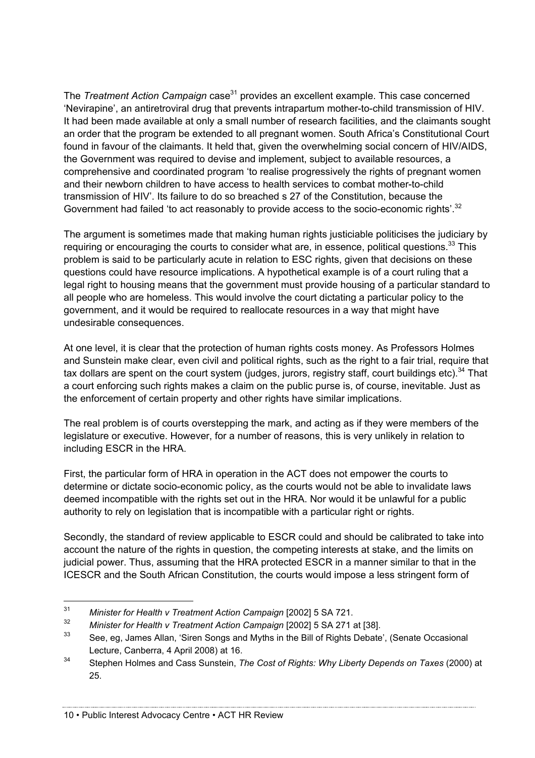The *Treatment Action Campaign* case<sup>31</sup> provides an excellent example. This case concerned 'Nevirapine', an antiretroviral drug that prevents intrapartum mother-to-child transmission of HIV. It had been made available at only a small number of research facilities, and the claimants sought an order that the program be extended to all pregnant women. South Africa's Constitutional Court found in favour of the claimants. It held that, given the overwhelming social concern of HIV/AIDS, the Government was required to devise and implement, subject to available resources, a comprehensive and coordinated program 'to realise progressively the rights of pregnant women and their newborn children to have access to health services to combat mother-to-child transmission of HIV'. Its failure to do so breached s 27 of the Constitution, because the Government had failed 'to act reasonably to provide access to the socio-economic rights'.<sup>32</sup>

The argument is sometimes made that making human rights justiciable politicises the judiciary by requiring or encouraging the courts to consider what are, in essence, political questions.<sup>33</sup> This problem is said to be particularly acute in relation to ESC rights, given that decisions on these questions could have resource implications. A hypothetical example is of a court ruling that a legal right to housing means that the government must provide housing of a particular standard to all people who are homeless. This would involve the court dictating a particular policy to the government, and it would be required to reallocate resources in a way that might have undesirable consequences.

At one level, it is clear that the protection of human rights costs money. As Professors Holmes and Sunstein make clear, even civil and political rights, such as the right to a fair trial, require that tax dollars are spent on the court system (judges, jurors, registry staff, court buildings etc).<sup>34</sup> That a court enforcing such rights makes a claim on the public purse is, of course, inevitable. Just as the enforcement of certain property and other rights have similar implications.

The real problem is of courts overstepping the mark, and acting as if they were members of the legislature or executive. However, for a number of reasons, this is very unlikely in relation to including ESCR in the HRA.

First, the particular form of HRA in operation in the ACT does not empower the courts to determine or dictate socio-economic policy, as the courts would not be able to invalidate laws deemed incompatible with the rights set out in the HRA. Nor would it be unlawful for a public authority to rely on legislation that is incompatible with a particular right or rights.

Secondly, the standard of review applicable to ESCR could and should be calibrated to take into account the nature of the rights in question, the competing interests at stake, and the limits on judicial power. Thus, assuming that the HRA protected ESCR in a manner similar to that in the ICESCR and the South African Constitution, the courts would impose a less stringent form of

<sup>&</sup>lt;sup>31</sup> *Minister for Health v Treatment Action Campaign* [2002] 5 SA 721.<br><sup>32</sup> *Minister for Health v Treatment Action Compaign* [2002] 5 SA 271.

<sup>&</sup>lt;sup>32</sup> *Minister for Health v Treatment Action Campaign* [2002] 5 SA 271 at [38].

See, eg, James Allan, 'Siren Songs and Myths in the Bill of Rights Debate', (Senate Occasional Lecture, Canberra, 4 April 2008) at 16.

<sup>34</sup> Stephen Holmes and Cass Sunstein, *The Cost of Rights: Why Liberty Depends on Taxes* (2000) at 25.